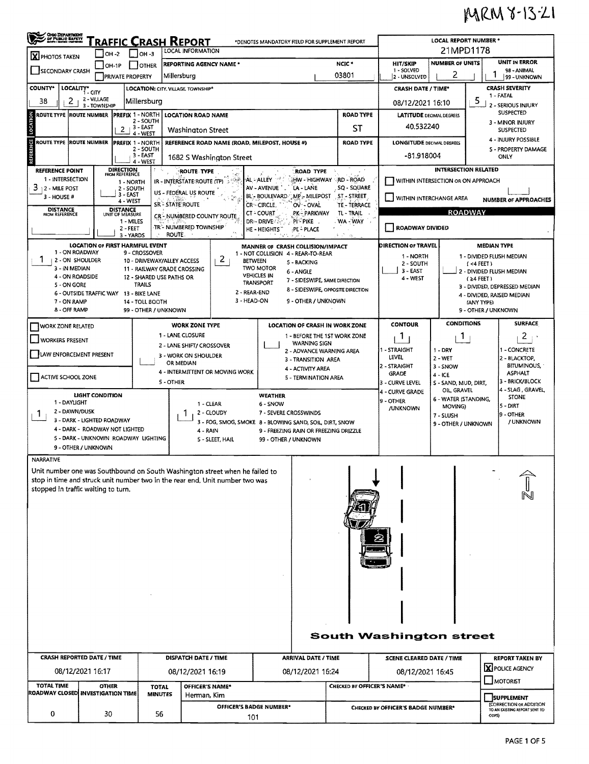## MRM 8-13-21

| <b>CHIO DEPARTMENT</b><br>OF PUBLIC BAPETY<br>AVOI - BENG - MONDA<br>Traffic Crash Report<br>*DENOTES MANDATORY FIELD FOR SUPPLEMENT REPORT<br><b>LOCAL INFORMATION</b> |                                                              |                                      |                                           |                                |                                                                       |                                                                                                              |                                                                  |                  |                                         | <b>LOCAL REPORT NUMBER *</b><br>21MPD1178                                |                                    |                                            |                                              |  |  |
|-------------------------------------------------------------------------------------------------------------------------------------------------------------------------|--------------------------------------------------------------|--------------------------------------|-------------------------------------------|--------------------------------|-----------------------------------------------------------------------|--------------------------------------------------------------------------------------------------------------|------------------------------------------------------------------|------------------|-----------------------------------------|--------------------------------------------------------------------------|------------------------------------|--------------------------------------------|----------------------------------------------|--|--|
| X PHOTOS TAKEN                                                                                                                                                          | $-$ OH -2                                                    | $\vert$ $\vert$ OH -3                |                                           |                                |                                                                       |                                                                                                              |                                                                  |                  | UNIT IN ERROR<br><b>NUMBER OF UNITS</b> |                                                                          |                                    |                                            |                                              |  |  |
| <b>SECONDARY CRASH</b>                                                                                                                                                  | $IOH-1P$                                                     | <b>FOTHER</b>                        |                                           | <b>REPORTING AGENCY NAME *</b> |                                                                       | NCIC <sup>+</sup><br>03801                                                                                   |                                                                  |                  | <b>HIT/SKIP</b><br>1 - SOLVED           |                                                                          |                                    | 98 - ANIMAL                                |                                              |  |  |
|                                                                                                                                                                         |                                                              |                                      | <b>PRIVATE PROPERTY</b>                   |                                | Millersburg                                                           |                                                                                                              |                                                                  |                  |                                         | 2 - UNSOLVED                                                             | 2                                  | 1                                          | 99 - UNKNOWN                                 |  |  |
| <b>COUNTY*</b>                                                                                                                                                          | LOCALITY* CITY<br>2 - VILLAGE                                |                                      |                                           |                                | LOCATION: CITY, VILLAGE, TOWNSHIP*                                    |                                                                                                              |                                                                  |                  |                                         | <b>CRASH DATE / TIME*</b>                                                |                                    |                                            | <b>CRASH SEVERITY</b><br>1 - FATAL           |  |  |
| 2<br>38                                                                                                                                                                 | 3 - TOWNSHIP                                                 |                                      | lMillersburg                              |                                |                                                                       |                                                                                                              |                                                                  |                  |                                         |                                                                          | 08/12/2021 16:10                   | 5                                          | 2 - SERIOUS INJURY                           |  |  |
| <b>LOCATION</b><br>ROUTE TYPE ROUTE NUMBER                                                                                                                              |                                                              | <b>PREFIX 1 - NORTH</b><br>2 - SOUTH |                                           | <b>LOCATION ROAD NAME</b>      |                                                                       | <b>ROAD TYPE</b>                                                                                             |                                                                  |                  |                                         | <b>LATITUDE DECIMAL DEGREES</b>                                          |                                    | SUSPECTED<br>3 - MINOR INJURY              |                                              |  |  |
|                                                                                                                                                                         |                                                              | 2                                    | 3 - EAST<br>4 - WEST                      |                                |                                                                       | ST<br><b>Washington Street</b>                                                                               |                                                                  |                  |                                         |                                                                          | 40.532240                          |                                            | <b>SUSPECTED</b>                             |  |  |
| SNCE<br>38<br>ROUTE TYPE ROUTE NUMBER                                                                                                                                   |                                                              |                                      | <b>PREFIX 1 - NORTH</b><br>2 - SOUTH      |                                |                                                                       |                                                                                                              | REFERENCE ROAD NAME (ROAD, MILEPOST, HOUSE #)                    | <b>ROAD TYPE</b> | <b>LONGITUDE DECIMAL DEGREES</b>        |                                                                          |                                    | 4 - INJURY POSSIBLE<br>S - PROPERTY DAMAGE |                                              |  |  |
| REFERE                                                                                                                                                                  |                                                              |                                      | 3 - EAST<br>4 - WEST                      |                                |                                                                       | 1682 S Washington Street                                                                                     |                                                                  |                  |                                         | -81.918004                                                               |                                    |                                            | ONLY                                         |  |  |
| <b>REFERENCE POINT</b>                                                                                                                                                  |                                                              | <b>DIRECTION</b><br>FROM REFERENCE   |                                           |                                | ROUTE TYPE                                                            |                                                                                                              | <b>ROAD TYPE</b>                                                 |                  |                                         |                                                                          | <b>INTERSECTION RELATED</b>        |                                            |                                              |  |  |
| 1 - INTERSECTION                                                                                                                                                        |                                                              |                                      | 1 - NORTH                                 |                                | IR - INTERSTATE ROUTE (TP)                                            |                                                                                                              | AL - ALLEY                                                       |                  | HW - HIGHWAY RD - ROAD                  | WITHIN INTERSECTION OR ON APPROACH                                       |                                    |                                            |                                              |  |  |
| $3 + 2 -$ MILE POST<br>$3 - HOUSE #$                                                                                                                                    |                                                              | 3 - EAST                             | 2 - SOUTH                                 |                                | US - FEDERAL US ROUTE                                                 |                                                                                                              | AV - AVENUE<br>LA - LANE<br><b>MP MILEPOST</b><br>BL - BOULEVARD |                  | SQ - SQUARE<br>ST-STREET                | WITHIN INTERCHANGE AREA<br><b>NUMBER OF APPROACHES</b><br><b>ROADWAY</b> |                                    |                                            |                                              |  |  |
| <b>DISTANCE</b>                                                                                                                                                         |                                                              | 4 - WEST<br><b>DISTANCE</b>          |                                           |                                | SR - STATE ROUTE                                                      |                                                                                                              | CR - CIRCLE.<br>OV - OVAL                                        |                  | TE - TERRACE                            |                                                                          |                                    |                                            |                                              |  |  |
| FROM REFERENCE                                                                                                                                                          |                                                              | UNIT OF MEASURE                      | 1 - MILES                                 |                                | CR - NUMBERED COUNTY ROUTE                                            |                                                                                                              | <b>CT-COURT</b><br>PK - PARKWAY<br>DR-DRIVE<br>PI-PIKE           |                  | TL - TRAIL<br>. WA - WAY                |                                                                          |                                    |                                            |                                              |  |  |
|                                                                                                                                                                         |                                                              |                                      | $2 - FEET$<br>3 - YARDS                   |                                | TR <sup>4</sup> NUMBERED TOWNSHIP<br><b>ROUTE</b>                     |                                                                                                              | HE - HEIGHTS<br>PL-PLACE                                         |                  | $1 - 7 - z_2$                           | <b>ROADWAY DIVIDED</b>                                                   |                                    |                                            |                                              |  |  |
|                                                                                                                                                                         | <b>LOCATION OF FIRST HARMFUL EVENT</b>                       |                                      |                                           |                                |                                                                       |                                                                                                              | MANNER OF CRASH COLLISION/IMPACT                                 |                  |                                         | DIRECTION OF TRAVEL<br><b>MEDIAN TYPE</b>                                |                                    |                                            |                                              |  |  |
| 1 - ON ROADWAY<br>1<br>1 2 - ON SHOULDER                                                                                                                                |                                                              |                                      | 9 - CROSSOVER                             |                                | 10 - DRIVEWAY/ALLEY ACCESS                                            | $\mathbf{2}$<br><b>BETWEEN</b>                                                                               | 1 - NOT COLLISION 4 - REAR-TO-REAR<br>5 - BACKING                |                  |                                         | 1 - NORTH                                                                |                                    | $($ <4 FEET $)$                            | 1 - DIVIDED FLUSH MEDIAN                     |  |  |
| 3 - IN MEDIAN                                                                                                                                                           |                                                              |                                      |                                           |                                | 11 - RAILWAY GRADE CROSSING                                           |                                                                                                              | <b>TWO MOTOR</b><br>6 - ANGLE<br><b>VEHICLES IN</b>              |                  |                                         | 2 - SOUTH<br>3 - EAST                                                    | 2 - DIVIDED FLUSH MEDIAN           |                                            |                                              |  |  |
| 4 - ON ROADSIDE<br>5 - ON GORE                                                                                                                                          |                                                              |                                      | 12 - SHARED USE PATHS OR<br><b>TRAILS</b> |                                |                                                                       |                                                                                                              | 7 - SIDESWIPE, SAME DIRECTION<br><b>TRANSPORT</b>                |                  |                                         | 4 - WEST                                                                 |                                    |                                            | $(24$ FEET)<br>3 - DIVIDED, DEPRESSED MEDIAN |  |  |
|                                                                                                                                                                         | 6 - OUTSIDE TRAFFIC WAY 13 - BIKE LANE                       |                                      |                                           |                                | 8 - SIDESWIPE, OPPOSITE DIRECTION<br>2 - REAR-END                     |                                                                                                              |                                                                  |                  |                                         |                                                                          |                                    | 4 - DIVIDED, RAISED MEDIAN                 |                                              |  |  |
| 7 - ON RAMP<br>8 - OFF RAMP                                                                                                                                             |                                                              |                                      | 14 - TOLL BOOTH<br>99 - OTHER / UNKNOWN   |                                | 3 - HEAD-ON<br>9 - OTHER / UNKNOWN                                    |                                                                                                              |                                                                  |                  |                                         |                                                                          |                                    | <b>IANY TYPE</b><br>9 - OTHER / UNKNOWN    |                                              |  |  |
| <b>WORK ZONE RELATED</b>                                                                                                                                                |                                                              |                                      |                                           |                                | <b>WORK ZONE TYPE</b>                                                 |                                                                                                              | LOCATION OF CRASH IN WORK ZONE                                   |                  |                                         | <b>CONTOUR</b>                                                           | <b>CONDITIONS</b>                  |                                            | <b>SURFACE</b>                               |  |  |
| <b>WORKERS PRESENT</b>                                                                                                                                                  |                                                              |                                      |                                           |                                | 1 - LANE CLOSURE                                                      |                                                                                                              | 1 - BEFORE THE 1ST WORK ZONE                                     |                  |                                         | Л.                                                                       | J.                                 |                                            | 2                                            |  |  |
|                                                                                                                                                                         |                                                              |                                      |                                           |                                | WARNING SIGN<br>2 - LANE SHIFT/ CROSSOVER<br>2 - ADVANCE WARNING AREA |                                                                                                              |                                                                  |                  |                                         | 1 - STRAIGHT                                                             | $1 - DRY$                          |                                            | 1 - CONCRETE                                 |  |  |
| LAW ENFORCEMENT PRESENT                                                                                                                                                 |                                                              |                                      |                                           |                                | 3 - WORK ON SHOULDER<br>OR MEDIAN                                     | 3 - TRANSITION AREA                                                                                          |                                                                  |                  |                                         | LEVEL<br>2 - STRAIGHT                                                    | 2 - WET<br>3 - SNOW                |                                            | 2 - BLACKTOP,<br><b>BITUMINOUS,</b>          |  |  |
| ACTIVE SCHOOL ZONE                                                                                                                                                      |                                                              |                                      |                                           |                                |                                                                       | 4 - ACTIVITY AREA<br>4 - INTERMITTENT OR MOVING WORK<br>5 - TERMINATION AREA                                 |                                                                  |                  |                                         | GRADE                                                                    | $4 - ICE$                          |                                            | <b>ASPHALT</b>                               |  |  |
|                                                                                                                                                                         |                                                              |                                      |                                           | 5 - OTHER                      |                                                                       |                                                                                                              |                                                                  |                  |                                         |                                                                          | S - SAND, MUD, DIRT,<br>OIL GRAVEL |                                            | 3 - BRICK/BLOCK<br>4 - SLAG, GRAVEL          |  |  |
| 1 - DAYLIGHT                                                                                                                                                            | LIGHT CONDITION                                              |                                      |                                           |                                | 1 - CLEAR                                                             |                                                                                                              | <b>WEATHER</b><br>6 - SNOW                                       |                  |                                         | <b>4 - CURVE GRADE</b><br>9 - OTHER                                      | 6 - WATER (STANDING,               |                                            | <b>STONE</b>                                 |  |  |
| 2 - DAWN/DUSK<br>1                                                                                                                                                      |                                                              |                                      |                                           |                                |                                                                       | 2 - CLOUDY<br>7 - SEVERE CROSSWINDS                                                                          |                                                                  |                  |                                         |                                                                          | MOVING)<br>7 - SLUSH               |                                            | 5 - DIRT<br>9 - OTHER                        |  |  |
|                                                                                                                                                                         | 3 - DARK - LIGHTED ROADWAY<br>4 - DARK - ROADWAY NOT LIGHTED |                                      |                                           |                                |                                                                       | 3 - FOG, SMOG, SMOKE 8 - BLOWING SAND, SOIL, DIRT, SNOW<br>4 - RAIN<br>9 - FREEZING RAIN OR FREEZING DRIZZLE |                                                                  |                  |                                         |                                                                          | 9 - OTHER / UNKNOWN                |                                            | / UNKNOWN                                    |  |  |
|                                                                                                                                                                         | 5 - DARK - UNKNOWN ROADWAY LIGHTING                          |                                      |                                           |                                |                                                                       | 5 - SLEET, HAIL                                                                                              | 99 - OTHER / UNKNOWN                                             |                  |                                         |                                                                          |                                    |                                            |                                              |  |  |
|                                                                                                                                                                         | 9 - OTHER / UNKNOWN                                          |                                      |                                           |                                |                                                                       |                                                                                                              |                                                                  |                  |                                         |                                                                          |                                    |                                            |                                              |  |  |
| <b>NARRATIVE</b>                                                                                                                                                        |                                                              |                                      |                                           |                                |                                                                       |                                                                                                              |                                                                  |                  |                                         |                                                                          |                                    |                                            |                                              |  |  |
| Unit number one was Southbound on South Washington street when he failed to<br>stop in time and struck unit number two in the rear end. Unit number two was             |                                                              |                                      |                                           |                                |                                                                       |                                                                                                              |                                                                  |                  |                                         |                                                                          |                                    |                                            |                                              |  |  |
| stopped in traffic waiting to turn.                                                                                                                                     |                                                              |                                      |                                           |                                |                                                                       |                                                                                                              |                                                                  |                  |                                         |                                                                          |                                    |                                            |                                              |  |  |
|                                                                                                                                                                         |                                                              |                                      |                                           |                                |                                                                       |                                                                                                              |                                                                  |                  |                                         |                                                                          |                                    |                                            |                                              |  |  |
|                                                                                                                                                                         |                                                              |                                      |                                           |                                |                                                                       |                                                                                                              |                                                                  |                  |                                         |                                                                          |                                    |                                            |                                              |  |  |
|                                                                                                                                                                         |                                                              |                                      |                                           |                                |                                                                       |                                                                                                              |                                                                  |                  |                                         |                                                                          |                                    |                                            |                                              |  |  |
|                                                                                                                                                                         |                                                              |                                      |                                           |                                |                                                                       |                                                                                                              |                                                                  |                  |                                         |                                                                          |                                    |                                            |                                              |  |  |
|                                                                                                                                                                         |                                                              |                                      |                                           |                                |                                                                       |                                                                                                              |                                                                  |                  |                                         |                                                                          |                                    |                                            |                                              |  |  |
|                                                                                                                                                                         |                                                              |                                      |                                           |                                |                                                                       |                                                                                                              |                                                                  |                  |                                         |                                                                          |                                    |                                            |                                              |  |  |
|                                                                                                                                                                         |                                                              |                                      |                                           |                                |                                                                       |                                                                                                              |                                                                  |                  |                                         |                                                                          |                                    |                                            |                                              |  |  |
|                                                                                                                                                                         |                                                              |                                      |                                           |                                |                                                                       |                                                                                                              |                                                                  |                  |                                         |                                                                          |                                    |                                            |                                              |  |  |
|                                                                                                                                                                         |                                                              |                                      |                                           |                                |                                                                       |                                                                                                              |                                                                  |                  |                                         |                                                                          |                                    |                                            |                                              |  |  |
|                                                                                                                                                                         |                                                              |                                      |                                           |                                |                                                                       |                                                                                                              |                                                                  |                  |                                         |                                                                          |                                    |                                            |                                              |  |  |
|                                                                                                                                                                         |                                                              |                                      |                                           |                                |                                                                       |                                                                                                              |                                                                  |                  |                                         |                                                                          |                                    |                                            |                                              |  |  |
|                                                                                                                                                                         |                                                              |                                      |                                           |                                |                                                                       |                                                                                                              |                                                                  |                  |                                         | <b>South Washington street</b>                                           |                                    |                                            |                                              |  |  |
| <b>CRASH REPORTED DATE / TIME</b>                                                                                                                                       |                                                              |                                      |                                           |                                | DISPATCH DATE / TIME                                                  |                                                                                                              | <b>ARRIVAL DATE / TIME</b>                                       |                  |                                         | <b>SCENE CLEARED DATE / TIME</b>                                         |                                    |                                            | <b>REPORT TAKEN BY</b>                       |  |  |
|                                                                                                                                                                         | 08/12/2021 16:17                                             |                                      |                                           |                                | 08/12/2021 16:19                                                      |                                                                                                              | 08/12/2021 16:24                                                 |                  |                                         | 08/12/2021 16:45                                                         |                                    |                                            | X POLICE AGENCY                              |  |  |
| <b>TOTAL TIME</b>                                                                                                                                                       |                                                              | <b>OTHER</b>                         |                                           | <b>TOTAL</b>                   | OFFICER'S NAME*                                                       |                                                                                                              |                                                                  |                  | CHECKED BY OFFICER'S NAME* .            |                                                                          |                                    |                                            | MOTORIST                                     |  |  |
| ROADWAY CLOSED INVESTIGATION TIME                                                                                                                                       |                                                              |                                      |                                           | <b>MINUTES</b>                 | Herman, Kim                                                           |                                                                                                              |                                                                  |                  |                                         |                                                                          |                                    |                                            | <b>SUPPLEMENT</b>                            |  |  |
| OFFICER'S BADGE NUMBER*<br>0<br>30<br>56<br>101                                                                                                                         |                                                              |                                      |                                           |                                |                                                                       |                                                                                                              | CHECKED BY OFFICER'S BADGE NUMBER*                               |                  |                                         | (CORRECTION OR ADDITION<br>TO AN EXISTING REPORT SENT TO<br>ODPS)        |                                    |                                            |                                              |  |  |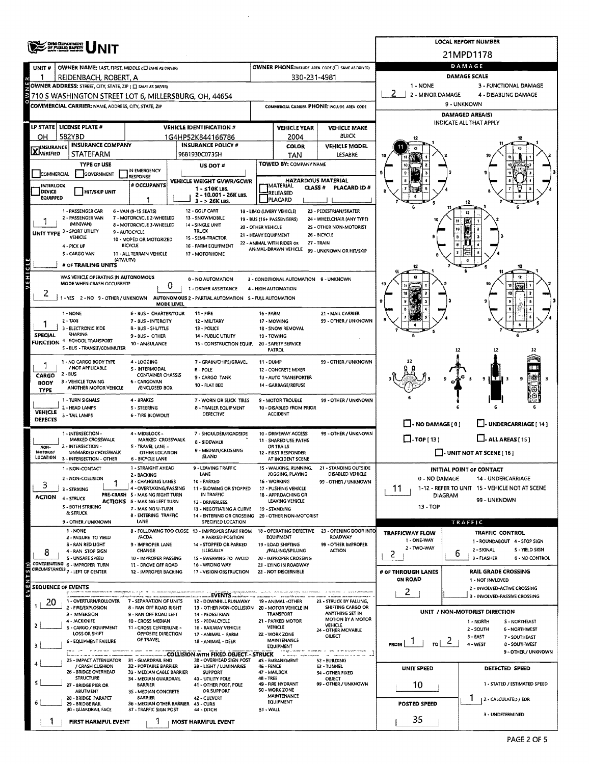|                                                                                                    | <b>OHO DEPARTMENT</b><br>OF PUBLIC BAFETY                                             |                                                                        | <b>LOCAL REPORT NUMBER</b>                                                                 |                                            |                                                               |                                                       |                                                   |                                                               |  |  |  |  |  |
|----------------------------------------------------------------------------------------------------|---------------------------------------------------------------------------------------|------------------------------------------------------------------------|--------------------------------------------------------------------------------------------|--------------------------------------------|---------------------------------------------------------------|-------------------------------------------------------|---------------------------------------------------|---------------------------------------------------------------|--|--|--|--|--|
|                                                                                                    |                                                                                       |                                                                        |                                                                                            |                                            |                                                               |                                                       | 21MPD1178                                         |                                                               |  |  |  |  |  |
| UNIT#                                                                                              | OWNER NAME: LAST, FIRST, MIDDLE (C) SAME AS DRIVERY                                   |                                                                        |                                                                                            |                                            |                                                               | OWNER PHONE:INCLUDE AREA CODE (C) SAME AS DRIVER)     | DAMAGE                                            |                                                               |  |  |  |  |  |
|                                                                                                    | REIDENBACH, ROBERT, A<br>OWNER ADDRESS: STREET, CITY, STATE, ZIP ( C) SAME AS DRIVERY |                                                                        |                                                                                            |                                            | 330-231-4981                                                  |                                                       | DAMAGE SCALE<br>1 - NONE<br>3 - FUNCTIONAL DAMAGE |                                                               |  |  |  |  |  |
| 2 - MINOR DAMAGE<br>4 - DISABLING DAMAGE<br>3710 S WASHINGTON STREET LOT 6, MILLERSBURG, OH, 44654 |                                                                                       |                                                                        |                                                                                            |                                            |                                                               |                                                       |                                                   |                                                               |  |  |  |  |  |
|                                                                                                    | COMMERCIAL CARRIER: NAME, ADDRESS, CITY, STATE, ZIP                                   |                                                                        |                                                                                            |                                            |                                                               | COMMERCIAL CARRIER PHONE: INCLUDE AREA CODE           | 9 - UNKNOWN                                       |                                                               |  |  |  |  |  |
|                                                                                                    |                                                                                       |                                                                        |                                                                                            |                                            |                                                               |                                                       | <b>DAMAGED AREA(S)</b>                            |                                                               |  |  |  |  |  |
|                                                                                                    | LP STATE   LICENSE PLATE #                                                            |                                                                        | <b>VEHICLE IDENTIFICATION #</b>                                                            | <b>VEHICLE YEAR</b><br><b>VEHICLE MAKE</b> |                                                               |                                                       |                                                   | INDICATE ALL THAT APPLY                                       |  |  |  |  |  |
| он                                                                                                 | 582YBD<br><b>INSURANCE COMPANY</b>                                                    |                                                                        | 1G4HP52K844166786<br><b>INSURANCE POLICY #</b>                                             |                                            | 2004<br>COLOR                                                 | <b>BUICK</b><br><b>VEHICLE MODEL</b>                  |                                                   |                                                               |  |  |  |  |  |
| <b>X</b> INSURANCE                                                                                 | <b>STATEFARM</b>                                                                      |                                                                        | 9681930C0735H                                                                              |                                            | <b>TAN</b>                                                    | LESABRE                                               |                                                   |                                                               |  |  |  |  |  |
|                                                                                                    | <b>TYPE OF USE</b>                                                                    |                                                                        | US DOT #                                                                                   |                                            | TOWED BY: COMPANY NAME                                        |                                                       |                                                   |                                                               |  |  |  |  |  |
| COMMERCIAL                                                                                         | GOVERNMENT                                                                            | IN EMERGENCY<br><b>RESPONSE</b>                                        | VEHICLE WEIGHT GVWR/GCWR                                                                   | <b>HAZARDOUS MATERIAL</b>                  |                                                               |                                                       |                                                   |                                                               |  |  |  |  |  |
| INTERLOCK<br><b>DEVICE</b>                                                                         | <b>HIT/SKIP UNIT</b>                                                                  | # OCCUPANTS                                                            | $1 - 510K$ LBS.                                                                            |                                            | MATERIAL<br><b>CLASS #</b><br>RELEASED                        | PLACARD ID#                                           |                                                   |                                                               |  |  |  |  |  |
| EQUIPPED                                                                                           |                                                                                       | 1                                                                      | 2 - 10.001 - 26K LBS.<br>$3 - 26K$ LBS.                                                    |                                            | PLACARD                                                       |                                                       |                                                   |                                                               |  |  |  |  |  |
|                                                                                                    | 1 - PASSENGER CAR<br>2 - PASSENGER VAN                                                | 6 - VAN (9-15 SEATS)<br>7 - MOTORCYCLE 2-WHEELED                       | 12 - GOLF CART<br>13 - SNOWMOBILE                                                          |                                            | 18 - LIMO (LIVERY VEHICLE)                                    | 23 - PEDESTRIAN/SKATER                                |                                                   |                                                               |  |  |  |  |  |
|                                                                                                    | (MINIVANI)                                                                            | 8 - MOTORCYCLE 3-WHEELED                                               | 14 - SINGLE UNIT                                                                           | 20 - OTHER VEHICLE                         | 19 - BUS (16+ PASSENGERS)                                     | 24 - WHEELCHAIR (ANY TYPE)<br>2S - OTHER NON-MOTORIST |                                                   | 10                                                            |  |  |  |  |  |
|                                                                                                    | UNIT TYPE 3 - SPORT UTILITY<br>VEHICLE                                                | 9 - AUTOCYCLE<br>10 - MOPED OR MOTORIZED                               | <b>TRUCK</b><br>15 - SEMI-TRACTOR                                                          | 21 HEAVY EQUIPMENT                         |                                                               | 26 - BICYCLE                                          |                                                   |                                                               |  |  |  |  |  |
|                                                                                                    | 4 - PICK UP<br>S - CARGO VAN                                                          | <b>BICYCLE</b><br>11 - ALL TERRAIN VEHICLE                             | 16 - FARM EQUIPMENT<br>17 - MOTORHOME                                                      |                                            | 22 - ANIMAL WITH RIDER OR<br>ANIMAL-DRAWN VEHICLE             | 27 - TRAIN<br>99 - UNKNOWN OR HIT/SKIP                |                                                   |                                                               |  |  |  |  |  |
|                                                                                                    | (ATV/UTV)<br># OF TRAILING UNITS                                                      |                                                                        |                                                                                            |                                            |                                                               |                                                       |                                                   |                                                               |  |  |  |  |  |
| VEHICL                                                                                             | WAS VEHICLE OPERATING IN AUTONOMOUS                                                   |                                                                        |                                                                                            |                                            |                                                               |                                                       |                                                   | 12                                                            |  |  |  |  |  |
|                                                                                                    | MODE WHEN CRASH OCCURRED?                                                             | 0                                                                      | 0 - NO AUTOMATION<br>1 - DRIVER ASSISTANCE                                                 |                                            | 3 - CONDITIONAL AUTOMATION 9 - UNKNOWN<br>4 - HIGH AUTOMATION |                                                       |                                                   |                                                               |  |  |  |  |  |
| 2                                                                                                  |                                                                                       |                                                                        | 1 - YES 2 - NO 9 - OTHER / UNKNOWN AUTONOMOUS 2 - PARTIAL AUTOMATION S - FULL AUTOMATION   |                                            |                                                               |                                                       | m                                                 |                                                               |  |  |  |  |  |
|                                                                                                    |                                                                                       | MODE LEVEL                                                             |                                                                                            |                                            |                                                               |                                                       |                                                   |                                                               |  |  |  |  |  |
|                                                                                                    | 1 - NONE<br>$2 - TAXI$                                                                | 6 - BUS - CHARTER/TOUR<br>7 - BUS - INTERCITY                          | <b>11 - FIRE</b><br>12 - MILITARY                                                          | 16 - FARM                                  | 17 - MOWING                                                   | 21 - MAIL CARRIER<br>99 - OTHER / UNKNOWN             |                                                   |                                                               |  |  |  |  |  |
| <b>SPECIAL</b>                                                                                     | 3 - ELECTRONIC RIDE<br><b>SHARING</b>                                                 | 8 - BUS - SHUTTLE<br>9-BUS- OTHER                                      | 13 - POLICE<br>14 - PUBLIC UTILITY                                                         |                                            | 18 - SNOW REMOVAL<br>19 - TOWING                              |                                                       |                                                   |                                                               |  |  |  |  |  |
|                                                                                                    | <b>FUNCTION 4 - SCHOOL TRANSPORT</b><br>S - BUS - TRANSIT/COMMUTER                    | 10 - AMBULANCE                                                         | 15 - CONSTRUCTION EQUIP.                                                                   |                                            | 20 - SAFETY SERVICE                                           |                                                       |                                                   |                                                               |  |  |  |  |  |
|                                                                                                    |                                                                                       |                                                                        |                                                                                            |                                            | <b>PATROL</b>                                                 |                                                       |                                                   |                                                               |  |  |  |  |  |
|                                                                                                    | 1 - NO CARGO BODY TYPE<br>/ NOT APPLICABLE                                            | 4 - LOGGING<br>S - INTERMODAL                                          | 7 - GRAIN/CHIPS/GRAVEL<br><b>B-POLE</b>                                                    | 11 - DUMP                                  | 12 - CONCRETE MIXER                                           | 99 - OTHER / UNKNOWN                                  |                                                   |                                                               |  |  |  |  |  |
| CARGO<br><b>BODY</b>                                                                               | 2 BUS<br>3 - VEHICLE TOWING                                                           | <b>CONTAINER CHASSIS</b><br>6 - CARGOVAN                               | 9 - CARGO TANK                                                                             |                                            | 13 - AUTO TRANSPORTER                                         |                                                       |                                                   | 9<br>.<br>а                                                   |  |  |  |  |  |
| <b>TYPE</b>                                                                                        | ANOTHER MOTOR VEHICLE                                                                 | /ENCLOSED BOX                                                          | 10 - FLAT BED                                                                              |                                            | 14 - GARBAGE/REFUSE                                           |                                                       |                                                   |                                                               |  |  |  |  |  |
|                                                                                                    | 1 - TURN SIGNALS<br>2 - HEAD LAMPS                                                    | 4 - BRAKES<br>S - STEERING                                             | 7 - WORN OR SLICK TIRES                                                                    |                                            | 9 - MOTOR TROUBLE<br>10 - DISABLED FROM PRIOR                 | 99 - OTHER / UNKNOWN                                  |                                                   |                                                               |  |  |  |  |  |
| <b>VEHICLE</b><br><b>DEFECTS</b>                                                                   | 3 - TAIL LAMPS                                                                        | 6 - TIRE BLOWOUT                                                       | <b>8 - TRAILER EQUIPMENT</b><br>DEFECTIVE                                                  |                                            | <b>ACCIDENT</b>                                               |                                                       |                                                   |                                                               |  |  |  |  |  |
|                                                                                                    |                                                                                       |                                                                        |                                                                                            |                                            |                                                               |                                                       | $\Box$ - NO DAMAGE [ 0 ]                          | L. UNDERCARRIAGE [ 14 ]                                       |  |  |  |  |  |
|                                                                                                    | 1 - INTERSECTION -<br>MARKED CROSSWALK                                                | 4 - MIDBLOCK -<br>MARKED CROSSWALK                                     | 7 - SHOULDER/ROADSIDE<br><b>8 - SIDEWALK</b>                                               |                                            | 10 - DRIVEWAY ACCESS<br><b>11 - SHARED USE PATHS</b>          | 99 - OTHER / UNKNOWN                                  | $\Box$ -TOP[13]                                   | $\Box$ - ALL AREAS [ 15 ]                                     |  |  |  |  |  |
| NON-<br>MOTORIST                                                                                   | 2 - INTERSECTION -<br><b>UNMARKED CROSSWALK</b>                                       | 5 - TRAVEL LANE -<br>OTHER LOCATION                                    | 9 - MEDIAN/CROSSING                                                                        |                                            | OR TRAILS<br>12 - FIRST RESPONDER                             |                                                       |                                                   | - UNIT NOT AT SCENE [ 16 ]                                    |  |  |  |  |  |
| LOCATION                                                                                           | 3 - INTERSECTION - OTHER                                                              | <b>6 - BICYCLE LANE</b><br>1 - STRAIGHT AHEAD                          | <b>ISLAND</b><br>9 - LEAVING TRAFFIC                                                       |                                            | AT INCIDENT SCENE                                             | 21 - STANDING OUTSIDE                                 |                                                   |                                                               |  |  |  |  |  |
|                                                                                                    | 1 - NON-CONTACT<br>2 - NON-COLUSION                                                   | 2 - BACKING                                                            | LANE                                                                                       |                                            | 15 - WALKING, RUNNING,<br>JOGGING, PLAYING                    | DISABLED VEHICLE                                      | 0 - NO DAMAGE                                     | INITIAL POINT OF CONTACT<br>14 - UNDERCARRIAGE                |  |  |  |  |  |
| 3                                                                                                  | 3 - STRIKING                                                                          | 3 - CHANGING LANES<br>4 - OVERTAKING/PASSING                           | 10 - PARKED<br>11 - SLOWING OR STOPPED                                                     |                                            | 16 - WORKING<br>17 - PUSHING VEHICLE                          | 99 - OTHER / UNKNOWN                                  | 11                                                | 1-12 - REFER TO UNIT 15 - VEHICLE NOT AT SCENE                |  |  |  |  |  |
| <b>ACTION</b>                                                                                      | 4 - STRUCK                                                                            | PRE-CRASH S - MAKING RIGHT TURN<br><b>ACTIONS</b> 6 - MAKING LEFT TURN | IN TRAFFIC<br>12 - DRIVERLESS                                                              |                                            | 18 - APPROACHING OR<br>LEAVING VEHICLE                        |                                                       |                                                   | DIAGRAM<br>99 - UNKNOWN                                       |  |  |  |  |  |
|                                                                                                    | <b>S-BOTH STRIKING</b><br>& STRUCK                                                    | 7 - MAKING U-TURN<br>8 - ENTERING TRAFFIC                              | 13 - NEGOTIATING A CURVE<br>14 - ENTERING OR CROSSING                                      |                                            | 19 - STANDING<br>20 - OTHER NON-MOTORIST                      |                                                       | 13 - TOP                                          |                                                               |  |  |  |  |  |
|                                                                                                    | 9 - OTHER / UNKNOWN                                                                   | LANE                                                                   | SPECIFIED LOCATION                                                                         |                                            |                                                               |                                                       |                                                   | TRAFFIC                                                       |  |  |  |  |  |
|                                                                                                    | 1 - NONE<br>2 - FAILURE TO YIELD                                                      | /ACDA                                                                  | 8 - FOLLOWING TOO CLOSE 13 - IMPROPER START FROM<br>A PARKED POSITION                      |                                            | 18 - OPERATING DEFECTIVE<br>EQUIPMENT                         | 23 - OPENING DOOR INTO<br><b>ROADWAY</b>              | TRAFFICWAY FLOW                                   | TRAFFIC CONTROL                                               |  |  |  |  |  |
|                                                                                                    | 3 - RAN RED LIGHT<br>4 - RAN STOP SIGN                                                | 9 - IMPROPER LANE<br>CHANGE                                            | 14 - STOPPED OR PARKED<br>ILLEGALLY                                                        |                                            | 19 - LOAD SHIFTING<br>/FALLING/SPILLING                       | 99 - OTHER IMPROPER<br><b>ACTION</b>                  | 1 - ONE-WAY<br>2 - TWO-WAY                        | 1 - ROUNDABOUT 4 - STOP SIGN<br>2 - SIGNAL<br>S - YIELD SIGN  |  |  |  |  |  |
| 8                                                                                                  | S - UNSAFE SPEED                                                                      | 10 - IMPROPER PASSING                                                  | 15 - SWERVING TO AVOID                                                                     |                                            | 20 - IMPROPER CROSSING                                        |                                                       | 2                                                 | b<br>3 - FLASHER<br>6 - NO CONTROL                            |  |  |  |  |  |
|                                                                                                    | CONTRIBUTING 6 - IMPROPER TURN<br>CIRCUMSTANCES <sub>7</sub> - LEFT OF CENTER         | 11 - DROVE OFF ROAD<br>12 - IMPROPER BACKING                           | 16 - WRONG WAY<br>17 - VISION OBSTRUCTION                                                  |                                            | 21 - LYING IN ROADWAY<br>22 - NOT DISCERNIBLE                 |                                                       | # OF THROUGH LANES                                | <b>RAIL GRADE CROSSING</b>                                    |  |  |  |  |  |
| SEQUENCE OF EVENTS                                                                                 |                                                                                       |                                                                        |                                                                                            |                                            |                                                               |                                                       | ON ROAD                                           | 1 - NOT INVLOVED                                              |  |  |  |  |  |
|                                                                                                    |                                                                                       |                                                                        | EVENTS                                                                                     |                                            |                                                               |                                                       | 2                                                 | 2 - INVOLVED-ACTIVE CROSSING<br>3 - INVOLVED-PASSIVE CROSSING |  |  |  |  |  |
| 20                                                                                                 | 1 - OVERTURN/ROLLOVER<br>2 - FIRE/EXPLOSION                                           | 7 - SEPARATION OF UNITS<br>8 - RAN OFF ROAD RIGHT                      | 12 - DOWNHILL RUNAWAY 19 - ANIMAL -OTHER<br>13 - OTHER NON-COLLISION 20 - MOTOR VEHICLE IN |                                            |                                                               | 23 - STRUCK BY FALLING.<br>SHIFTING CARGO OR          |                                                   |                                                               |  |  |  |  |  |
|                                                                                                    | 3 - IMMERSION<br>4 - JACKKNIFE                                                        | 9 - RAN OFF ROAD LEFT<br>10 - CROSS MEDIAN                             | 14 - PEDESTRIAN<br>15 - PEDALCYCLE                                                         |                                            | <b>TRANSPORT</b><br>21 - PARKED MOTOR                         | ANYTHING SET IN<br>MOTION BY A MOTOR                  |                                                   | UNIT / NON-MOTORIST DIRECTION<br>1 - NORTH<br>S - NORTHEAST   |  |  |  |  |  |
| 2                                                                                                  | S - CARGO / EQUIPMENT<br>LOSS OR SHIFT                                                | 11 - CROSS CENTERLINE -<br>OPPOSITE DIRECTION                          | 16 - RAILWAY VEHICLE<br>17 - ANIMAL - FARM                                                 |                                            | VEHICLE<br>22 - WORK ZONE                                     | VEHICLE<br>24 - OTHER MOVABLE                         |                                                   | 2 - SOUTH<br>6 - NORTHWEST                                    |  |  |  |  |  |
|                                                                                                    | 6 - EQUIPMENT FAILURE                                                                 | OF TRAVEL                                                              | 18 - ANIMAL - DEER                                                                         |                                            | <b>MAINTENANCE</b><br><b>EQUIPMENT</b>                        | OBJECT                                                | <b>FROM</b><br>TO                                 | $3 - EAST$<br>7 - SOUTHEAST<br>۷<br>4 - WEST<br>8 - SOUTHWEST |  |  |  |  |  |
|                                                                                                    |                                                                                       |                                                                        | COLLISION WITH FIXED OBJECT - STRUCK                                                       |                                            |                                                               |                                                       |                                                   | 9 - OTHER / UNKNOWN                                           |  |  |  |  |  |
|                                                                                                    | 25 - IMPACT ATTENUATOR 31 - GUARDRAIL END<br>/ CRASH CUSHION                          | 32 - PORTABLE BARRIER                                                  | 38 - OVERHEAD SIGN POST<br>39 - LIGHT / LUMINARIES                                         | 46 - FENCE                                 | 45 - EMBANKMENT                                               | 52 - BUILDING<br><b>S3 - TUNNEL</b>                   | UNIT SPEED                                        | DETECTED SPEED                                                |  |  |  |  |  |
|                                                                                                    | 26 - BRIDGE OVERHEAD<br><b>STRUCTURE</b>                                              | 33 - MEDIAN CABLE BARRIER<br>34 - MEDIAN GUARDRAIL                     | <b>SUPPORT</b><br>40 - UTILITY POLE                                                        | 4B-TREE                                    | 47 - MAILBOX                                                  | 54 - OTHER FIXED<br>OBJECT                            |                                                   |                                                               |  |  |  |  |  |
|                                                                                                    | 27 - BRIDGE PIER OR<br><b>ABUTMENT</b>                                                | <b>BARRIER</b><br>3S - MEDIAN CONCRETE                                 | 41 - OTHER POST, POLE<br>OR SUPPORT                                                        |                                            | 49 - FIRE HYDRANT<br>SO - WORK ZONE                           | 99 - OTHER / UNKNOWN                                  | 10                                                | 1 - STATED / ESTIMATED SPEED                                  |  |  |  |  |  |
|                                                                                                    | 28 - BRIDGE PARAPET<br>29 - BRIDGE RAIL                                               | <b>BARRIER</b><br>36 - MEDIAN OTHER BARRIER 43 - CURB                  | 42 - CULVERT                                                                               |                                            | MAINTENANCE<br>EQUIPMENT                                      |                                                       | <b>POSTED SPEED</b>                               | 2 - CALCULATED / EDR                                          |  |  |  |  |  |
|                                                                                                    | 30 - GUARDRAIL FACE                                                                   | 37 - TRAFFIC SIGN POST                                                 | 44 - DITCH                                                                                 | 51 - WALL                                  |                                                               |                                                       |                                                   | 3 - UNDETERMINED                                              |  |  |  |  |  |
|                                                                                                    | FIRST HARMFUL EVENT                                                                   |                                                                        | <b>MOST HARMFUL EVENT</b>                                                                  |                                            |                                                               |                                                       | 35                                                |                                                               |  |  |  |  |  |

 $\hat{\boldsymbol{\epsilon}}$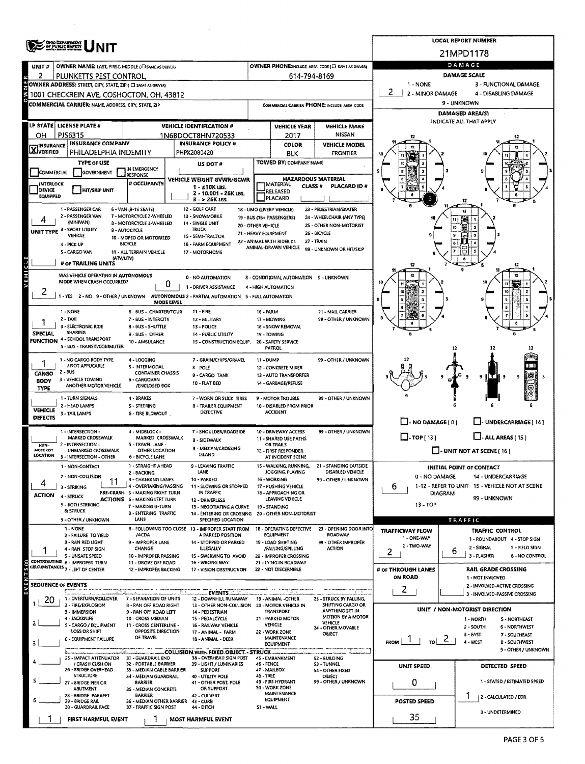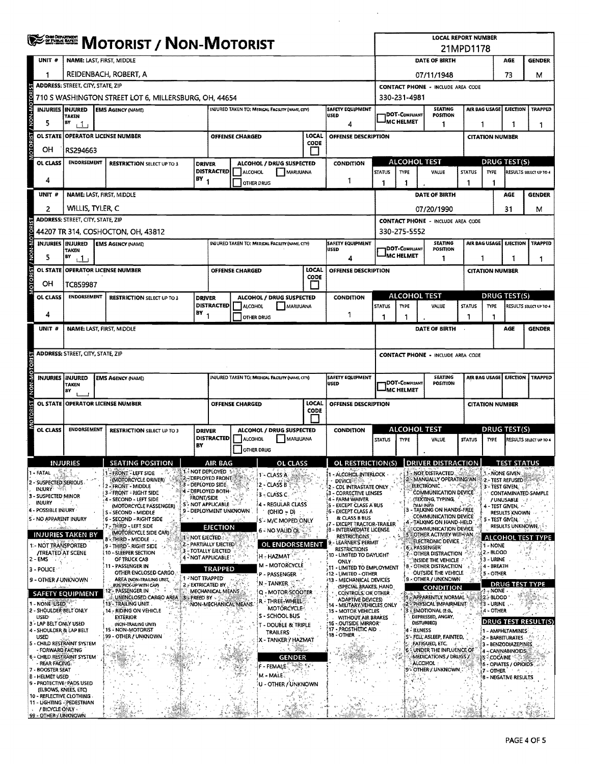|                         |                                                                                                   | <b>EXPERIENCE</b><br><b>MOTORIST / NON-MOTORIST</b>                                                                               |  |                                                                         |                   |                                                   |                        |                                                           |                      |                                                                                |                                          | <b>LOCAL REPORT NUMBER</b><br>21MPD1178                                                               |                                                                                      |                     |                                     |                                               |                               |  |  |
|-------------------------|---------------------------------------------------------------------------------------------------|-----------------------------------------------------------------------------------------------------------------------------------|--|-------------------------------------------------------------------------|-------------------|---------------------------------------------------|------------------------|-----------------------------------------------------------|----------------------|--------------------------------------------------------------------------------|------------------------------------------|-------------------------------------------------------------------------------------------------------|--------------------------------------------------------------------------------------|---------------------|-------------------------------------|-----------------------------------------------|-------------------------------|--|--|
|                         | UNIT #                                                                                            | NAME: LAST, FIRST, MIDDLE                                                                                                         |  |                                                                         |                   |                                                   |                        |                                                           |                      |                                                                                | DATE OF BIRTH<br><b>AGE</b>              |                                                                                                       |                                                                                      |                     |                                     |                                               | <b>GENDER</b>                 |  |  |
|                         |                                                                                                   | REIDENBACH, ROBERT, A                                                                                                             |  |                                                                         |                   |                                                   |                        |                                                           |                      |                                                                                |                                          | 73<br>07/11/1948<br>М                                                                                 |                                                                                      |                     |                                     |                                               |                               |  |  |
|                         | <b>ADDRESS: STREET, CITY, STATE, ZIP</b><br>710 S WASHINGTON STREET LOT 6, MILLERSBURG, OH, 44654 |                                                                                                                                   |  |                                                                         |                   |                                                   |                        |                                                           |                      |                                                                                |                                          | <b>CONTACT PHONE - INCLUDE AREA CODE</b><br>330-231-4981                                              |                                                                                      |                     |                                     |                                               |                               |  |  |
|                         |                                                                                                   | <b>INJURIES INJURED</b><br><b>SAFETY EQUIPMENT</b><br>INJURED TAKEN TO: MEDICAL FACILITY (NAME, CITY)<br><b>EMS AGENCY (NAME)</b> |  |                                                                         |                   |                                                   |                        |                                                           |                      |                                                                                |                                          |                                                                                                       | <b>SEATING</b>                                                                       |                     |                                     | AIR BAG USAGE EJECTION                        | <b>TRAPPED</b>                |  |  |
|                         | 5                                                                                                 | <b>TAKEN</b><br>BY<br>$+1$                                                                                                        |  |                                                                         |                   |                                                   |                        | <b>USED</b><br>4                                          |                      | <b>DOT-COMPLIANT</b><br>POSITION<br><sup>J</sup> MC HELMET<br>1                |                                          |                                                                                                       | 1                                                                                    | 1                   | 1                                   |                                               |                               |  |  |
| OTORIST / NON-MOTOR     | <b>OL STATE</b><br>он                                                                             | <b>OPERATOR LICENSE NUMBER</b><br>RS294663                                                                                        |  |                                                                         |                   |                                                   | <b>OFFENSE CHARGED</b> | LOCAL<br><b>OFFENSE DESCRIPTION</b><br>CODE               |                      |                                                                                |                                          |                                                                                                       |                                                                                      |                     | <b>CITATION NUMBER</b>              |                                               |                               |  |  |
|                         | OL CLASS                                                                                          | <b>ENDORSEMENT</b><br><b>RESTRICTION SELECT UP TO 3</b>                                                                           |  |                                                                         |                   | ALCOHOL / DRUG SUSPECTED<br><b>DRIVER</b>         |                        |                                                           | <b>CONDITION</b>     |                                                                                | <b>ALCOHOL TEST</b>                      |                                                                                                       |                                                                                      | <b>DRUG TEST(S)</b> |                                     |                                               |                               |  |  |
|                         | 4                                                                                                 |                                                                                                                                   |  |                                                                         | BΥ                | <b>DISTRACTED</b><br>-1                           | ALCOHOL                | OTHER DRUG                                                | MARIJUANA            | 1                                                                              | <b>STATUS</b><br>1                       | <b>TYPE</b><br>1                                                                                      | VALUE                                                                                | <b>STATUS</b><br>1  | <b>TYPE</b><br>1                    |                                               | RESULTS SELECT UP TO 4        |  |  |
|                         | UNIT#                                                                                             | NAME: LAST, FIRST, MIDDLE                                                                                                         |  |                                                                         |                   |                                                   |                        |                                                           |                      |                                                                                |                                          |                                                                                                       | <b>DATE OF BIRTH</b>                                                                 |                     |                                     | AGE                                           | <b>GENDER</b>                 |  |  |
|                         | 2                                                                                                 | WILLIS, TYLER. C                                                                                                                  |  |                                                                         |                   |                                                   |                        |                                                           |                      |                                                                                |                                          |                                                                                                       | 07/20/1990                                                                           |                     |                                     | 31                                            | м                             |  |  |
|                         |                                                                                                   | ADDRESS: STREET, CITY, STATE, ZIP                                                                                                 |  |                                                                         |                   |                                                   |                        |                                                           |                      |                                                                                |                                          |                                                                                                       | <b>CONTACT PHONE - INCLUDE AREA CODE</b>                                             |                     |                                     |                                               |                               |  |  |
|                         |                                                                                                   |                                                                                                                                   |  | 44207 TR 314, COSHOCTON, OH, 43812                                      |                   |                                                   |                        |                                                           |                      |                                                                                |                                          | 330-275-5552                                                                                          |                                                                                      |                     |                                     |                                               |                               |  |  |
| MOTORIST / NON-MOTORIST | 5                                                                                                 | <b>INJURIES INJURED</b><br><b>TAKEN</b><br>B٧<br>, 1,                                                                             |  | <b>EMS AGENCY (NAME)</b>                                                |                   |                                                   |                        | INJURED TAKEN TO: MEDICAL FACILITY (NAME, CITY)           |                      | <b>SAFETY EQUIPMENT</b><br><b>USED</b><br>4                                    |                                          | <b>SEATING</b><br>DOT-COMPLIANT<br>POSITION<br>-IMC HELMET<br>1                                       |                                                                                      |                     | AIR BAG USAGE EJECTION TRAPPED<br>1 |                                               |                               |  |  |
|                         |                                                                                                   | OL STATE OPERATOR LICENSE NUMBER<br>OFFENSE CHARGED                                                                               |  |                                                                         |                   |                                                   |                        |                                                           | LOCAL<br>CODE        | OFFENSE DESCRIPTION                                                            |                                          |                                                                                                       |                                                                                      |                     | <b>CITATION NUMBER</b>              |                                               |                               |  |  |
|                         | OН                                                                                                | TC859987                                                                                                                          |  |                                                                         |                   |                                                   |                        |                                                           |                      |                                                                                |                                          |                                                                                                       | ALCOHOL TEST                                                                         |                     | <b>DRUG TEST(S)</b>                 |                                               |                               |  |  |
|                         | OL CLASS<br>4                                                                                     | <b>ENDORSEMENT</b>                                                                                                                |  | <b>RESTRICTION SELECT UP TO 3</b>                                       | $BY_1$            | <b>DRIVER</b><br><b>DISTRACTED</b>                | ALCOHOL                | ALCOHOL / DRUG SUSPECTED                                  | MARUUANA             | <b>CONDITION</b>                                                               | <b>STATUS</b>                            | <b>TYPE</b>                                                                                           | VALUE                                                                                | <b>STATUS</b>       | <b>TYPE</b>                         |                                               | RESULTS SELECT UP TO 4        |  |  |
|                         | UNIT #                                                                                            | NAME: LAST, FIRST, MIDDLE                                                                                                         |  |                                                                         |                   |                                                   |                        | OTHER DRUG                                                |                      | -1                                                                             |                                          |                                                                                                       | DATE OF BIRTH                                                                        |                     |                                     | AGE                                           | <b>GENDER</b>                 |  |  |
|                         |                                                                                                   |                                                                                                                                   |  |                                                                         |                   |                                                   |                        |                                                           |                      |                                                                                |                                          |                                                                                                       |                                                                                      |                     |                                     |                                               |                               |  |  |
|                         |                                                                                                   | ADDRESS: STREET, CITY, STATE, ZIP                                                                                                 |  |                                                                         |                   |                                                   |                        |                                                           |                      |                                                                                | <b>CONTACT PHONE - INCLUDE AREA CODE</b> |                                                                                                       |                                                                                      |                     |                                     |                                               |                               |  |  |
| MOTORIST / NON-MOTORIST |                                                                                                   | INJURIES INJURED<br>TAKEN<br>8Y                                                                                                   |  | <b>EMS AGENCY (NAME)</b>                                                |                   |                                                   |                        | INJURED TAKEN TO: MEDICAL FACILITY (NAME CITY)            |                      | <b>SAFETY EQUIPMENT</b><br><b>USED</b>                                         |                                          | <b>SEATING</b><br>AIR BAG USAGE   EJECTION   TRAPPED<br>DOT-COMPLIANT<br>POSITION<br><b>MC HELMET</b> |                                                                                      |                     |                                     |                                               |                               |  |  |
|                         |                                                                                                   | OL STATE OPERATOR LICENSE NUMBER                                                                                                  |  |                                                                         |                   |                                                   | <b>OFFENSE CHARGED</b> |                                                           | LOCAL<br><b>CODE</b> | OFFENSE DESCRIPTION                                                            | <b>CITATION NUMBER</b>                   |                                                                                                       |                                                                                      |                     |                                     |                                               |                               |  |  |
|                         | OL CLASS                                                                                          | <b>ENDORSEMENT</b>                                                                                                                |  | <b>RESTRICTION SELECT UP TO 3</b>                                       |                   | <b>DRIVER</b>                                     |                        | ALCOHOL / DRUG SUSPECTED<br><b>CONDITION</b>              |                      |                                                                                |                                          | ALCOHOL TEST                                                                                          |                                                                                      |                     |                                     | <b>DRUG TEST(S)</b>                           |                               |  |  |
|                         |                                                                                                   |                                                                                                                                   |  |                                                                         | BY                | <b>DISTRACTED</b>                                 | ALCOHOL                | MARUUANA<br>OTHER DRUG                                    |                      |                                                                                | <b>STATUS</b>                            | <b>TYPI</b>                                                                                           | <b>VALUL</b>                                                                         | <b>STATUS</b>       | IYPE.                               |                                               | <b>RESULTS SELECT UP TO 4</b> |  |  |
|                         |                                                                                                   | <b>INJURIES</b>                                                                                                                   |  | <b>SEATING POSITION</b>                                                 |                   | AIR BAG                                           |                        | <b>OL CLASS</b>                                           |                      | OL RESTRICTION(S)                                                              |                                          |                                                                                                       | <b>DRIVER DISTRACTION</b>                                                            |                     |                                     | <b>TEST STATUS</b>                            |                               |  |  |
|                         | 1 - FATAL<br>2 - SUSPECTED SERIOUS                                                                | æ.                                                                                                                                |  | - FRONT - LEFT SIDE<br>(MOTORCYCLE DRIVER)                              |                   | <b>A TANOT DEPLOYED 1-1</b><br>2-DEPLOYED FRONT   |                        | 1 - CLASS A                                               |                      | - ALCOHOL INTERLOCK<br><b>DEVICE</b>                                           |                                          |                                                                                                       | NOT DISTRACTED<br>2 - MANUALLY OPERATING AN 2 - TEST REFUSED FOR THE                 |                     |                                     | 1 - NONE GIVEN                                |                               |  |  |
|                         | <b>INJURY</b> 45<br>3 - SUSPECTED MINOR                                                           |                                                                                                                                   |  | 2 - FRONT - MIDDLE<br>3 - FRONT - RIGHT SIDE                            |                   | 3 - DEPLOYED SIDE.<br><b>ATA - DEPLOYED BOTH-</b> |                        | 2 - CLASS B<br>3 - CLASS C.                               |                      | 2 - CDL INTRASTATE ONLY .~<br>3 - CORRECTIVE LENSES                            |                                          |                                                                                                       | <b>ELECTRONIC.</b><br>COMMUNICATION DEVICE                                           |                     |                                     | <b>3 - TEST GIVEN.</b>                        | CONTAMINATED-SAMPLE           |  |  |
|                         | injury<br>$\Delta\eta$ .                                                                          |                                                                                                                                   |  | 4 - SECOND - LEFT SIDE<br>(MOTORCYCLE PASSENGER)                        | <b>FRONT/SIDE</b> | $\sim$<br><b>5<sup>3</sup> NOT APPLICABLE</b>     |                        | 4 - REGULAR CLASS                                         |                      | 4 - FARM WAIVER<br>5 - EXCEPT CLASS A BUS                                      |                                          |                                                                                                       | (TEXTING, TYPING,<br><b>CHAI INET</b>                                                |                     |                                     | /UNUSABLE 537<br>4 - Test Given, p. 1         |                               |  |  |
|                         | 4 - POSSIBLE INJURY<br>5 - NO APPARENT INJURY                                                     |                                                                                                                                   |  | S - SECOND - MIDDLE<br>6 - SECOND - RIGHT SIDE                          |                   | 9 - DEPLOYMENT UNKNOWN                            | - 100 (10              | $(OHIO = D)$<br>S - M/C MOPED ONLY                        |                      | {6 - EXCEPT CLASS A<br><b>&amp; CLASS B BUS</b>                                |                                          |                                                                                                       | 3 - TALKING ON HANDS-FREE<br><b>COMMUNICATION DEVICE</b><br>4 - TALKING ON HAND-HELD |                     |                                     | RESULTS KNOWN<br>5 - TEST GIVEN, 1            | $\mathcal{L}$                 |  |  |
|                         |                                                                                                   | <b>INJURIES TAKEN BY</b>                                                                                                          |  | ! 7 - THIRD - LEFT SIDE<br>(MOTORCYCLE SIDE CAR)                        |                   | <b>EJECTION</b>                                   |                        | 6 - NO VALID OL                                           |                      | #7 - EXCEPT TRACTOR-TRAILER<br>8 - INTERMEDIATE LICENSE<br><b>RESTRICTIONS</b> |                                          |                                                                                                       | COMMUNICATION DEVICE<br>5 COTHER ACTIVITY WITH AN                                    |                     |                                     | <b>RESULTS UNKNOWN.</b>                       |                               |  |  |
|                         | 1.- NOT TRANSPORTED                                                                               |                                                                                                                                   |  | 8 THIRD - MIDDLE<br>9 - THIRD'- RIGHT SIDE                              | 1 - NOT EJECTED.  | <b>2 - PARTIALLY EJECTED</b>                      |                        | OL ENDORSEMENT                                            |                      | LEARNER'S PERMIT<br><b>RESTRICTIONS</b>                                        |                                          |                                                                                                       | ELECTRONIC DEVICE<br>6 - PASSENGER                                                   |                     | (1 - NONE                           |                                               | ALCOHOL TEST TYPE             |  |  |
| 2 - EMS                 | <b><i>ITREATED AT SCENE</i></b>                                                                   |                                                                                                                                   |  | 10 - SLEEPER SECTION<br>OF TRUCK CAB                                    |                   | 3 - TOTALLY EJECTED<br>4 - NOT APPLICABLE?        |                        | H - HAZMAT                                                |                      | 10 - LIMITED TO DAYLIGHT<br>ONLY                                               |                                          |                                                                                                       | <b>7-OTHER DISTRACTION</b><br>INSIDE THE VEHICLE                                     |                     | 2.- BLOOD<br>3 - URINE              |                                               |                               |  |  |
|                         | 3 - POLICE                                                                                        |                                                                                                                                   |  | 11 - PASSENGER IN<br>OTHER ENCLOSED CARGO                               |                   | TRAPPED                                           |                        | <b>M - MOTORCYCLE</b><br>P - PASSENGER                    |                      | :11 - LIMITED TO EMPLOYMENT<br>112 - LIMITED - OTHER                           |                                          |                                                                                                       | <b>8 - OTHER DISTRACTION</b><br>OUTSIDE THE VEHICLE                                  |                     | 4 - BREATH<br>5 - OTHER             |                                               |                               |  |  |
|                         |                                                                                                   | 9 - OTHER AUNKNOWN                                                                                                                |  | AREA (NON-TRAILING UNIT,<br>BUS! PICK-UP WITH CAP)<br>12 - PASSENGER IN | 1 - NOT TRAPPED   | 2 - EXTRICATED BY<br>MECHANICAL MEANS             |                        | (N - TANKER, C)                                           |                      | <b>13 - MECHANICAL DEVICES</b><br>(SPECIAL BRAKES, HAND                        |                                          |                                                                                                       | 9 - OTHER / UNKNOWN<br><b>CONDITION</b>                                              |                     | $\theta$ – NONE –                   |                                               | <b>DRUG TEST TYPE</b>         |  |  |
|                         | 1 - NONE USED                                                                                     | <b>SAFETY EQUIPMENT</b>                                                                                                           |  | UNENCLOSED CARGO AREA 3: FREED BY -<br>13° TRAILING UNIT. .             |                   | NON-MECHANICAL MEANS.                             |                        | Q - MOTOR SCOOTER<br>R - THREE-WHEEL<br><b>MOTORCYCLE</b> |                      | CONTROLS, OR OTHER<br><b>ADAPTIVE DEVICES)</b><br>14 - MILITARY VEHICLES ONLY  |                                          |                                                                                                       | 1- APPARENTLY NORMAL<br>42 - PHYSICAL IMPAIRMENT                                     |                     | 2 - BLOOD "<br><b>3 - URINE</b>     |                                               |                               |  |  |
|                         | <b>USED</b><br>3 - LAP BELT ONLY USED                                                             | 2 - SHOULDER BELT ONLY                                                                                                            |  | 14 - RIDING ON VEHICLE<br><b>EXTERIOR</b><br>(NON-TRAILING UNIT)        |                   |                                                   |                        | S - SCHOOL BUS<br><b>T - DOUBLE &amp; TRIPLE</b>          |                      | <b>15 - MOTOR VEHICLES</b><br>WITHOUT AIR BRAKES<br>16 - OUTSIDE MIRROR"       |                                          |                                                                                                       | <b>3 FEMOTIONAL (E.G.</b><br>DEPRESSED, ANGRY,<br><b>DISTURBED)</b>                  |                     | <b>4 - OTHER</b>                    |                                               | DRUG TEST RESULT(S)           |  |  |
|                         | USED                                                                                              | 4 - SHOULDER & LAP BELT<br>5 - CHILD RESTRAINT SYSTEM                                                                             |  | 15 - NON-MOTORIST<br>∫99 - OTHER / UNKNOWN                              |                   |                                                   |                        | <b>TRAILERS</b><br>X - TANKER / HAZMAT                    |                      | <b>17 - PROSTHETIC AID</b><br>18 - OTHER                                       |                                          |                                                                                                       | 4 - ILLNESS<br>S'- FELL ASLEEP, FAINTED,<br>FATIGUED, ETC                            |                     |                                     | 1 - AMPHETAMINES<br>2 - BARBITURATES          |                               |  |  |
|                         | - FORWARD FACING                                                                                  |                                                                                                                                   |  |                                                                         |                   |                                                   |                        |                                                           |                      |                                                                                |                                          |                                                                                                       | UNDER THE INFLUENCE OF                                                               |                     |                                     | 3 - BENZODIAZEPINES<br>4 - CANNABINOIDS       |                               |  |  |
|                         | - REAR FACING:<br>7 - BOOSTER SEAT                                                                | 6 - CHILD RESTRAINT SYSTEM                                                                                                        |  |                                                                         |                   |                                                   |                        | <b>GENDER</b><br>f - Female (                             | 强烈松叶                 |                                                                                |                                          |                                                                                                       | <b>MEDICATIONS / DRUGS /</b><br>ALCOHOL:<br>9 - OTHER / UNKNOWN                      |                     | $7 - \text{OTHER}$                  | IS - COCAINE<br>6 - OPIATES / OPIOIDS<br>大きくに |                               |  |  |
|                         | <b>B-HELMET USED</b>                                                                              | 9 - PROTECTIVE PADS USED                                                                                                          |  |                                                                         |                   |                                                   |                        | M - MALE.<br>U - OTHER / UNKNOWN                          |                      |                                                                                |                                          |                                                                                                       |                                                                                      |                     |                                     | <b>8 - NEGATIVE RESULTS</b>                   |                               |  |  |
|                         |                                                                                                   | (ELBOWS, KNEES, ETC)<br>10 - REFLECTIVE CLOTHING                                                                                  |  |                                                                         |                   |                                                   |                        |                                                           |                      |                                                                                |                                          |                                                                                                       |                                                                                      |                     |                                     |                                               |                               |  |  |
|                         | A BICYCLE ONLY                                                                                    | 11 - LIGHTING - PEDESTRIAN<br>99 - OTHER / UNKNOWN                                                                                |  |                                                                         |                   |                                                   |                        |                                                           |                      |                                                                                |                                          |                                                                                                       |                                                                                      |                     |                                     |                                               |                               |  |  |